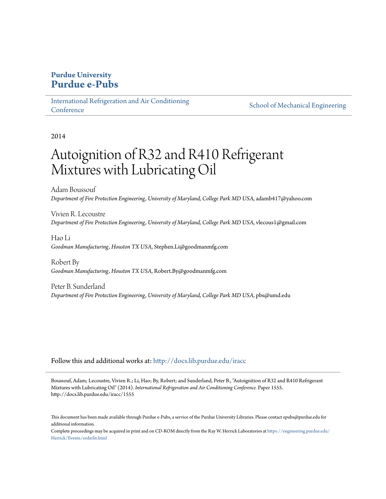# **Purdue University [Purdue e-Pubs](http://docs.lib.purdue.edu?utm_source=docs.lib.purdue.edu%2Firacc%2F1555&utm_medium=PDF&utm_campaign=PDFCoverPages)**

[International Refrigeration and Air Conditioning](http://docs.lib.purdue.edu/iracc?utm_source=docs.lib.purdue.edu%2Firacc%2F1555&utm_medium=PDF&utm_campaign=PDFCoverPages) **[Conference](http://docs.lib.purdue.edu/iracc?utm_source=docs.lib.purdue.edu%2Firacc%2F1555&utm_medium=PDF&utm_campaign=PDFCoverPages)** 

[School of Mechanical Engineering](http://docs.lib.purdue.edu/me?utm_source=docs.lib.purdue.edu%2Firacc%2F1555&utm_medium=PDF&utm_campaign=PDFCoverPages)

2014

# Autoignition of R32 and R410 Refrigerant Mixtures with Lubricating Oil

Adam Boussouf *Department of Fire Protection Engineering, University of Maryland, College Park MD USA*, adamb417@yahoo.com

Vivien R. Lecoustre *Department of Fire Protection Engineering, University of Maryland, College Park MD USA*, vlecous1@gmail.com

Hao Li *Goodman Manufacturing, Houston TX USA*, Stephen.Li@goodmanmfg.com

Robert By *Goodman Manufacturing, Houston TX USA*, Robert.By@goodmanmfg.com

Peter B. Sunderland *Department of Fire Protection Engineering, University of Maryland, College Park MD USA*, pbs@umd.edu

Follow this and additional works at: [http://docs.lib.purdue.edu/iracc](http://docs.lib.purdue.edu/iracc?utm_source=docs.lib.purdue.edu%2Firacc%2F1555&utm_medium=PDF&utm_campaign=PDFCoverPages)

Boussouf, Adam; Lecoustre, Vivien R.; Li, Hao; By, Robert; and Sunderland, Peter B., "Autoignition of R32 and R410 Refrigerant Mixtures with Lubricating Oil" (2014). *International Refrigeration and Air Conditioning Conference.* Paper 1555. http://docs.lib.purdue.edu/iracc/1555

This document has been made available through Purdue e-Pubs, a service of the Purdue University Libraries. Please contact epubs@purdue.edu for additional information.

Complete proceedings may be acquired in print and on CD-ROM directly from the Ray W. Herrick Laboratories at [https://engineering.purdue.edu/](https://engineering.purdue.edu/Herrick/Events/orderlit.html) [Herrick/Events/orderlit.html](https://engineering.purdue.edu/Herrick/Events/orderlit.html)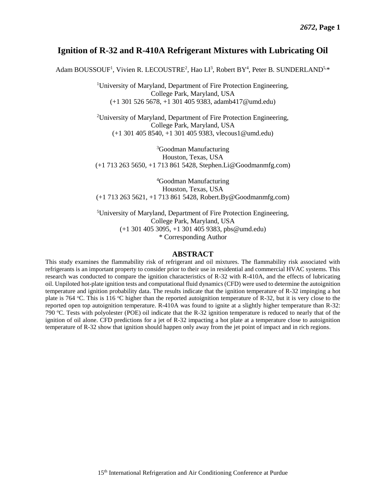# **Ignition of R-32 and R-410A Refrigerant Mixtures with Lubricating Oil**

Adam BOUSSOUF<sup>1</sup>, Vivien R. LECOUSTRE<sup>2</sup>, Hao LI<sup>3</sup>, Robert BY<sup>4</sup>, Peter B. SUNDERLAND<sup>5,\*</sup>

<sup>1</sup>University of Maryland, Department of Fire Protection Engineering, College Park, Maryland, USA (+1 301 526 5678, +1 301 405 9383, adamb417@umd.edu)

<sup>2</sup>University of Maryland, Department of Fire Protection Engineering, College Park, Maryland, USA (+1 301 405 8540, +1 301 405 9383, vlecous1@umd.edu)

<sup>3</sup>Goodman Manufacturing Houston, Texas, USA (+1 713 263 5650, +1 713 861 5428, Stephen.Li@Goodmanmfg.com)

<sup>4</sup>Goodman Manufacturing Houston, Texas, USA (+1 713 263 5621, +1 713 861 5428, [Robert.By@Goodmanmfg.com\)](mailto:Robert.By@Goodmanmfg.com)

<sup>5</sup>University of Maryland, Department of Fire Protection Engineering, College Park, Maryland, USA (+1 301 405 3095, +1 301 405 9383, pbs@umd.edu) \* Corresponding Author

#### **ABSTRACT**

This study examines the flammability risk of refrigerant and oil mixtures. The flammability risk associated with refrigerants is an important property to consider prior to their use in residential and commercial HVAC systems. This research was conducted to compare the ignition characteristics of R-32 with R-410A, and the effects of lubricating oil. Unpiloted hot-plate ignition tests and computational fluid dynamics (CFD) were used to determine the autoignition temperature and ignition probability data. The results indicate that the ignition temperature of R-32 impinging a hot plate is 764 °C. This is 116 °C higher than the reported autoignition temperature of R-32, but it is very close to the reported open top autoignition temperature. R-410A was found to ignite at a slightly higher temperature than R-32: 790 °C. Tests with polyolester (POE) oil indicate that the R-32 ignition temperature is reduced to nearly that of the ignition of oil alone. CFD predictions for a jet of R-32 impacting a hot plate at a temperature close to autoignition temperature of R-32 show that ignition should happen only away from the jet point of impact and in rich regions.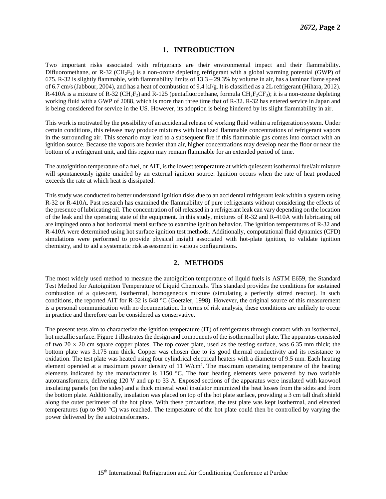### **1. INTRODUCTION**

Two important risks associated with refrigerants are their environmental impact and their flammability. Difluoromethane, or R-32 (CH<sub>2</sub>F<sub>2</sub>) is a non-ozone depleting refrigerant with a global warming potential (GWP) of 675. R-32 is slightly flammable, with flammability limits of  $13.3 - 29.3\%$  by volume in air, has a laminar flame speed of 6.7 cm/s (Jabbour, 2004), and has a heat of combustion of 9.4 kJ/g. It is classified as a 2L refrigerant (Hihara, 2012). R-410A is a mixture of R-32 ( $CH_2F_2$ ) and R-125 (pentafluoroethane, formula  $CH_2F_2CF_3$ ); it is a non-ozone depleting working fluid with a GWP of 2088, which is more than three time that of R-32. R-32 has entered service in Japan and is being considered for service in the US. However, its adoption is being hindered by its slight flammability in air.

This work is motivated by the possibility of an accidental release of working fluid within a refrigeration system. Under certain conditions, this release may produce mixtures with localized flammable concentrations of refrigerant vapors in the surrounding air. This scenario may lead to a subsequent fire if this flammable gas comes into contact with an ignition source. Because the vapors are heavier than air, higher concentrations may develop near the floor or near the bottom of a refrigerant unit, and this region may remain flammable for an extended period of time.

The autoignition temperature of a fuel, or AIT, is the lowest temperature at which quiescent isothermal fuel/air mixture will spontaneously ignite unaided by an external ignition source. Ignition occurs when the rate of heat produced exceeds the rate at which heat is dissipated.

This study was conducted to better understand ignition risks due to an accidental refrigerant leak within a system using R-32 or R-410A. Past research has examined the flammability of pure refrigerants without considering the effects of the presence of lubricating oil. The concentration of oil released in a refrigerant leak can vary depending on the location of the leak and the operating state of the equipment. In this study, mixtures of R-32 and R-410A with lubricating oil are impinged onto a hot horizontal metal surface to examine ignition behavior. The ignition temperatures of R-32 and R-410A were determined using hot surface ignition test methods. Additionally, computational fluid dynamics (CFD) simulations were performed to provide physical insight associated with hot-plate ignition, to validate ignition chemistry, and to aid a systematic risk assessment in various configurations.

### **2. METHODS**

The most widely used method to measure the autoignition temperature of liquid fuels is ASTM E659, the Standard Test Method for Autoignition Temperature of Liquid Chemicals. This standard provides the conditions for sustained combustion of a quiescent, isothermal, homogeneous mixture (simulating a perfectly stirred reactor). In such conditions, the reported AIT for R-32 is 648 °C (Goetzler, 1998). However, the original source of this measurement is a personal communication with no documentation. In terms of risk analysis, these conditions are unlikely to occur in practice and therefore can be considered as conservative.

The present tests aim to characterize the ignition temperature (IT) of refrigerants through contact with an isothermal, hot metallic surface. Figure 1 illustrates the design and components of the isothermal hot plate. The apparatus consisted of two 20  $\times$  20 cm square copper plates. The top cover plate, used as the testing surface, was 6.35 mm thick; the bottom plate was 3.175 mm thick. Copper was chosen due to its good thermal conductivity and its resistance to oxidation. The test plate was heated using four cylindrical electrical heaters with a diameter of 9.5 mm. Each heating element operated at a maximum power density of  $11 \text{ W/cm}^2$ . The maximum operating temperature of the heating elements indicated by the manufacturer is 1150 °C. The four heating elements were powered by two variable autotransformers, delivering 120 V and up to 33 A. Exposed sections of the apparatus were insulated with kaowool insulating panels (on the sides) and a thick mineral wool insulator minimized the heat losses from the sides and from the bottom plate. Additionally, insulation was placed on top of the hot plate surface, providing a 3 cm tall draft shield along the outer perimeter of the hot plate. With these precautions, the test plate was kept isothermal, and elevated temperatures (up to 900 °C) was reached. The temperature of the hot plate could then be controlled by varying the power delivered by the autotransformers.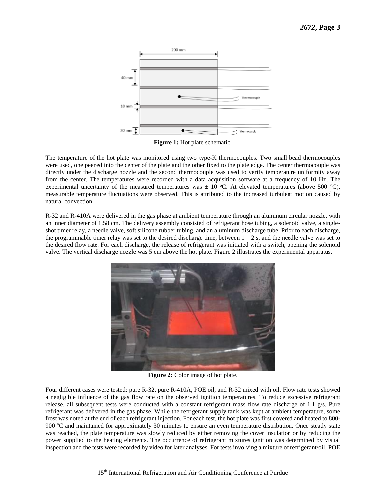

**Figure 1:** Hot plate schematic.

The temperature of the hot plate was monitored using two type-K thermocouples. Two small bead thermocouples were used, one peened into the center of the plate and the other fixed to the plate edge. The center thermocouple was directly under the discharge nozzle and the second thermocouple was used to verify temperature uniformity away from the center. The temperatures were recorded with a data acquisition software at a frequency of 10 Hz. The experimental uncertainty of the measured temperatures was  $\pm 10$  °C. At elevated temperatures (above 500 °C), measurable temperature fluctuations were observed. This is attributed to the increased turbulent motion caused by natural convection.

R-32 and R-410A were delivered in the gas phase at ambient temperature through an aluminum circular nozzle, with an inner diameter of 1.58 cm. The delivery assembly consisted of refrigerant hose tubing, a solenoid valve, a singleshot timer relay, a needle valve, soft silicone rubber tubing, and an aluminum discharge tube. Prior to each discharge, the programmable timer relay was set to the desired discharge time, between  $1 - 2$  s, and the needle valve was set to the desired flow rate. For each discharge, the release of refrigerant was initiated with a switch, opening the solenoid valve. The vertical discharge nozzle was 5 cm above the hot plate. Figure 2 illustrates the experimental apparatus.



**Figure 2:** Color image of hot plate.

Four different cases were tested: pure R-32, pure R-410A, POE oil, and R-32 mixed with oil. Flow rate tests showed a negligible influence of the gas flow rate on the observed ignition temperatures. To reduce excessive refrigerant release, all subsequent tests were conducted with a constant refrigerant mass flow rate discharge of 1.1 g/s. Pure refrigerant was delivered in the gas phase. While the refrigerant supply tank was kept at ambient temperature, some frost was noted at the end of each refrigerant injection. For each test, the hot plate was first covered and heated to 800- 900 °C and maintained for approximately 30 minutes to ensure an even temperature distribution. Once steady state was reached, the plate temperature was slowly reduced by either removing the cover insulation or by reducing the power supplied to the heating elements. The occurrence of refrigerant mixtures ignition was determined by visual inspection and the tests were recorded by video for later analyses. For tests involving a mixture of refrigerant/oil, POE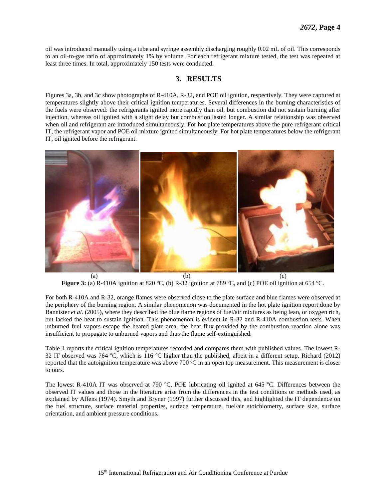oil was introduced manually using a tube and syringe assembly discharging roughly 0.02 mL of oil. This corresponds to an oil-to-gas ratio of approximately 1% by volume. For each refrigerant mixture tested, the test was repeated at least three times. In total, approximately 150 tests were conducted.

## **3. RESULTS**

Figures 3a, 3b, and 3c show photographs of R-410A, R-32, and POE oil ignition, respectively. They were captured at temperatures slightly above their critical ignition temperatures. Several differences in the burning characteristics of the fuels were observed: the refrigerants ignited more rapidly than oil, but combustion did not sustain burning after injection, whereas oil ignited with a slight delay but combustion lasted longer. A similar relationship was observed when oil and refrigerant are introduced simultaneously. For hot plate temperatures above the pure refrigerant critical IT, the refrigerant vapor and POE oil mixture ignited simultaneously. For hot plate temperatures below the refrigerant IT, oil ignited before the refrigerant.



**Figure 3:** (a) R-410A ignition at 820 °C, (b) R-32 ignition at 789 °C, and (c) POE oil ignition at 654 °C.

For both R-410A and R-32, orange flames were observed close to the plate surface and blue flames were observed at the periphery of the burning region. A similar phenomenon was documented in the hot plate ignition report done by Bannister *et al.* (2005), where they described the blue flame regions of fuel/air mixtures as being lean, or oxygen rich, but lacked the heat to sustain ignition. This phenomenon is evident in R-32 and R-410A combustion tests. When unburned fuel vapors escape the heated plate area, the heat flux provided by the combustion reaction alone was insufficient to propagate to unburned vapors and thus the flame self-extinguished.

Table 1 reports the critical ignition temperatures recorded and compares them with published values. The lowest R-32 IT observed was 764  $\degree$ C, which is 116  $\degree$ C higher than the published, albeit in a different setup. Richard (2012) reported that the autoignition temperature was above 700  $\degree$ C in an open top measurement. This measurement is closer to ours.

The lowest R-410A IT was observed at 790  $^{\circ}$ C. POE lubricating oil ignited at 645  $^{\circ}$ C. Differences between the observed IT values and those in the literature arise from the differences in the test conditions or methods used, as explained by Affens (1974). Smyth and Bryner (1997) further discussed this, and highlighted the IT dependence on the fuel structure, surface material properties, surface temperature, fuel/air stoichiometry, surface size, surface orientation, and ambient pressure conditions.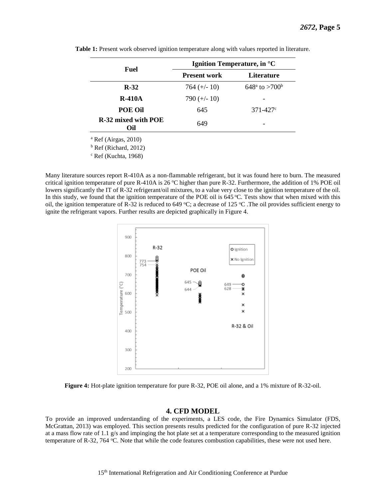| Fuel                          | Ignition Temperature, in °C |                                 |
|-------------------------------|-----------------------------|---------------------------------|
|                               | <b>Present work</b>         | Literature                      |
| $R-32$                        | $764 (+/- 10)$              | $648^{\circ}$ to $>700^{\circ}$ |
| $R-410A$                      | 790 $(+/- 10)$              |                                 |
| POE Oil                       | 645                         | $371 - 427$ °                   |
| R-32 mixed with POE<br>Oil    | 649                         |                                 |
| $^{\circ}$ Ref (Airgas, 2010) |                             |                                 |

**Table 1:** Present work observed ignition temperature along with values reported in literature.

 $<sup>b</sup>$  Ref (Richard, 2012)</sup>

<sup>c</sup> Ref (Kuchta, 1968)

Many literature sources report R-410A as a non-flammable refrigerant, but it was found here to burn. The measured critical ignition temperature of pure R-410A is 26 °C higher than pure R-32. Furthermore, the addition of 1% POE oil lowers significantly the IT of R-32 refrigerant/oil mixtures, to a value very close to the ignition temperature of the oil. In this study, we found that the ignition temperature of the POE oil is 645 °C. Tests show that when mixed with this oil, the ignition temperature of R-32 is reduced to 649 °C; a decrease of 125 °C. The oil provides sufficient energy to ignite the refrigerant vapors. Further results are depicted graphically in Figure 4.



**Figure 4:** Hot-plate ignition temperature for pure R-32, POE oil alone, and a 1% mixture of R-32-oil.

#### **4. CFD MODEL**

To provide an improved understanding of the experiments, a LES code, the Fire Dynamics Simulator (FDS, McGrattan, 2013) was employed. This section presents results predicted for the configuration of pure R-32 injected at a mass flow rate of 1.1 g/s and impinging the hot plate set at a temperature corresponding to the measured ignition temperature of R-32, 764  $^{\circ}$ C. Note that while the code features combustion capabilities, these were not used here.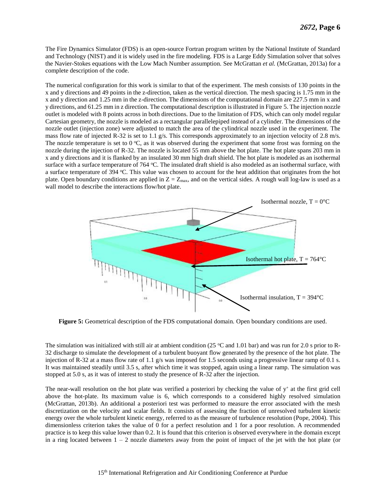The Fire Dynamics Simulator (FDS) is an open-source Fortran program written by the National Institute of Standard and Technology (NIST) and it is widely used in the fire modeling. FDS is a Large Eddy Simulation solver that solves the Navier-Stokes equations with the Low Mach Number assumption. See McGrattan *et al.* (McGrattan, 2013a) for a complete description of the code.

The numerical configuration for this work is similar to that of the experiment. The mesh consists of 130 points in the x and y directions and 49 points in the z-direction, taken as the vertical direction. The mesh spacing is 1.75 mm in the x and y direction and 1.25 mm in the z-direction. The dimensions of the computational domain are 227.5 mm in x and y directions, and 61.25 mm in z direction. The computational description is illustrated in Figure 5. The injection nozzle outlet is modeled with 8 points across in both directions. Due to the limitation of FDS, which can only model regular Cartesian geometry, the nozzle is modeled as a rectangular parallelepiped instead of a cylinder. The dimensions of the nozzle outlet (injection zone) were adjusted to match the area of the cylindrical nozzle used in the experiment. The mass flow rate of injected R-32 is set to 1.1 g/s. This corresponds approximately to an injection velocity of 2.8 m/s. The nozzle temperature is set to  $0^{\circ}C$ , as it was observed during the experiment that some frost was forming on the nozzle during the injection of R-32. The nozzle is located 55 mm above the hot plate. The hot plate spans 203 mm in x and y directions and it is flanked by an insulated 30 mm high draft shield. The hot plate is modeled as an isothermal surface with a surface temperature of 764  $^{\circ}$ C. The insulated draft shield is also modeled as an isothermal surface, with a surface temperature of 394 °C. This value was chosen to account for the heat addition that originates from the hot plate. Open boundary conditions are applied in  $Z = Z_{\text{max}}$ , and on the vertical sides. A rough wall log-law is used as a wall model to describe the interactions flow/hot plate.



**Figure 5:** Geometrical description of the FDS computational domain. Open boundary conditions are used.

The simulation was initialized with still air at ambient condition (25  $\degree$ C and 1.01 bar) and was run for 2.0 s prior to R-32 discharge to simulate the development of a turbulent buoyant flow generated by the presence of the hot plate. The injection of R-32 at a mass flow rate of 1.1 g/s was imposed for 1.5 seconds using a progressive linear ramp of 0.1 s. It was maintained steadily until 3.5 s, after which time it was stopped, again using a linear ramp. The simulation was stopped at 5.0 s, as it was of interest to study the presence of R-32 after the injection.

The near-wall resolution on the hot plate was verified a posteriori by checking the value of  $y^+$  at the first grid cell above the hot-plate. Its maximum value is 6, which corresponds to a considered highly resolved simulation (McGrattan, 2013b). An additional a posteriori test was performed to measure the error associated with the mesh discretization on the velocity and scalar fields. It consists of assessing the fraction of unresolved turbulent kinetic energy over the whole turbulent kinetic energy, referred to as the measure of turbulence resolution (Pope, 2004). This dimensionless criterion takes the value of 0 for a perfect resolution and 1 for a poor resolution. A recommended practice is to keep this value lower than 0.2. It is found that this criterion is observed everywhere in the domain except in a ring located between  $1 - 2$  nozzle diameters away from the point of impact of the jet with the hot plate (or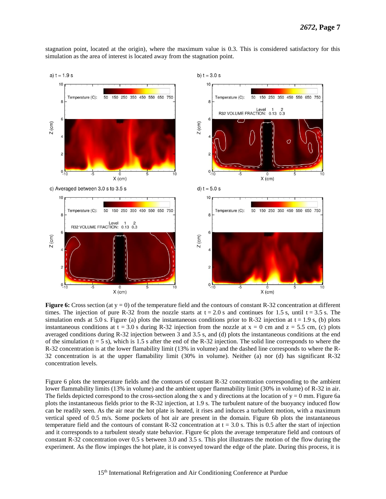stagnation point, located at the origin), where the maximum value is 0.3. This is considered satisfactory for this simulation as the area of interest is located away from the stagnation point.



**Figure 6:** Cross section (at y = 0) of the temperature field and the contours of constant R-32 concentration at different times. The injection of pure R-32 from the nozzle starts at  $t = 2.0$  s and continues for 1.5 s, until  $t = 3.5$  s. The simulation ends at 5.0 s. Figure (a) plots the instantaneous conditions prior to R-32 injection at  $t = 1.9$  s, (b) plots instantaneous conditions at  $t = 3.0$  s during R-32 injection from the nozzle at  $x = 0$  cm and  $z = 5.5$  cm, (c) plots averaged conditions during R-32 injection between 3 and 3.5 s, and (d) plots the instantaneous conditions at the end of the simulation  $(t = 5 s)$ , which is 1.5 s after the end of the R-32 injection. The solid line corresponds to where the R-32 concentration is at the lower flamability limit (13% in volume) and the dashed line corresponds to where the R-32 concentration is at the upper flamability limit (30% in volume). Neither (a) nor (d) has significant R-32 concentration levels.

Figure 6 plots the temperature fields and the contours of constant R-32 concentration corresponding to the ambient lower flammability limits (13% in volume) and the ambient upper flammability limit (30% in volume) of R-32 in air. The fields depicted correspond to the cross-section along the x and y directions at the location of  $y = 0$  mm. Figure 6a plots the instantaneous fields prior to the R-32 injection, at 1.9 s. The turbulent nature of the buoyancy induced flow can be readily seen. As the air near the hot plate is heated, it rises and induces a turbulent motion, with a maximum vertical speed of 0.5 m/s. Some pockets of hot air are present in the domain. Figure 6b plots the instantaneous temperature field and the contours of constant R-32 concentration at  $t = 3.0$  s. This is 0.5 after the start of injection and it corresponds to a turbulent steady state behavior. Figure 6c plots the average temperature field and contours of constant R-32 concentration over 0.5 s between 3.0 and 3.5 s. This plot illustrates the motion of the flow during the experiment. As the flow impinges the hot plate, it is conveyed toward the edge of the plate. During this process, it is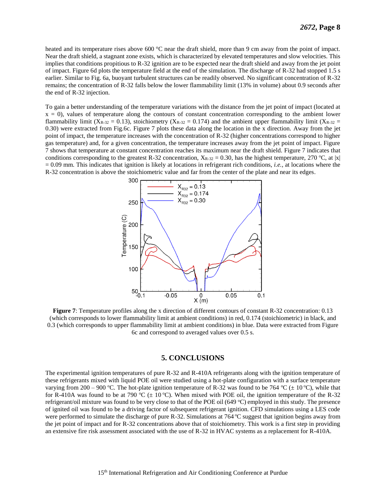heated and its temperature rises above 600 °C near the draft shield, more than 9 cm away from the point of impact. Near the draft shield, a stagnant zone exists, which is characterized by elevated temperatures and slow velocities. This implies that conditions propitious to R-32 ignition are to be expected near the draft shield and away from the jet point of impact. Figure 6d plots the temperature field at the end of the simulation. The discharge of R-32 had stopped 1.5 s earlier. Similar to Fig. 6a, buoyant turbulent structures can be readily observed. No significant concentration of R-32 remains; the concentration of R-32 falls below the lower flammability limit (13% in volume) about 0.9 seconds after the end of R-32 injection.

To gain a better understanding of the temperature variations with the distance from the jet point of impact (located at  $x = 0$ ), values of temperature along the contours of constant concentration corresponding to the ambient lower flammability limit (X<sub>R-32</sub> = 0.13), stoichiometry (X<sub>R-32</sub> = 0.174) and the ambient upper flammability limit (X<sub>R-32</sub> = 0.30) were extracted from Fig.6c. Figure 7 plots these data along the location in the x direction. Away from the jet point of impact, the temperature increases with the concentration of R-32 (higher concentrations correspond to higher gas temperature) and, for a given concentration, the temperature increases away from the jet point of impact. Figure 7 shows that temperature at constant concentration reaches its maximum near the draft shield. Figure 7 indicates that conditions corresponding to the greatest R-32 concentration,  $X_{R-32} = 0.30$ , has the highest temperature, 270 °C, at |x| = 0.09 mm. This indicates that ignition is likely at locations in refrigerant rich conditions, *i.e.,* at locations where the R-32 concentration is above the stoichiometric value and far from the center of the plate and near its edges.



**Figure 7:** Temperature profiles along the x direction of different contours of constant R-32 concentration: 0.13 (which corresponds to lower flammability limit at ambient conditions) in red, 0.174 (stoichiometric) in black, and 0.3 (which corresponds to upper flammability limit at ambient conditions) in blue. Data were extracted from Figure 6c and correspond to averaged values over 0.5 s.

#### **5. CONCLUSIONS**

The experimental ignition temperatures of pure R-32 and R-410A refrigerants along with the ignition temperature of these refrigerants mixed with liquid POE oil were studied using a hot-plate configuration with a surface temperature varying from 200 – 900 °C. The hot-plate ignition temperature of R-32 was found to be 764 °C ( $\pm$  10 °C), while that for R-410A was found to be at 790 °C ( $\pm$  10 °C). When mixed with POE oil, the ignition temperature of the R-32 refrigerant/oil mixture was found to be very close to that of the POE oil (649  $^{\circ}$ C) employed in this study. The presence of ignited oil was found to be a driving factor of subsequent refrigerant ignition. CFD simulations using a LES code were performed to simulate the discharge of pure R-32. Simulations at  $764^{\circ}$ C suggest that ignition begins away from the jet point of impact and for R-32 concentrations above that of stoichiometry. This work is a first step in providing an extensive fire risk assessment associated with the use of R-32 in HVAC systems as a replacement for R-410A.